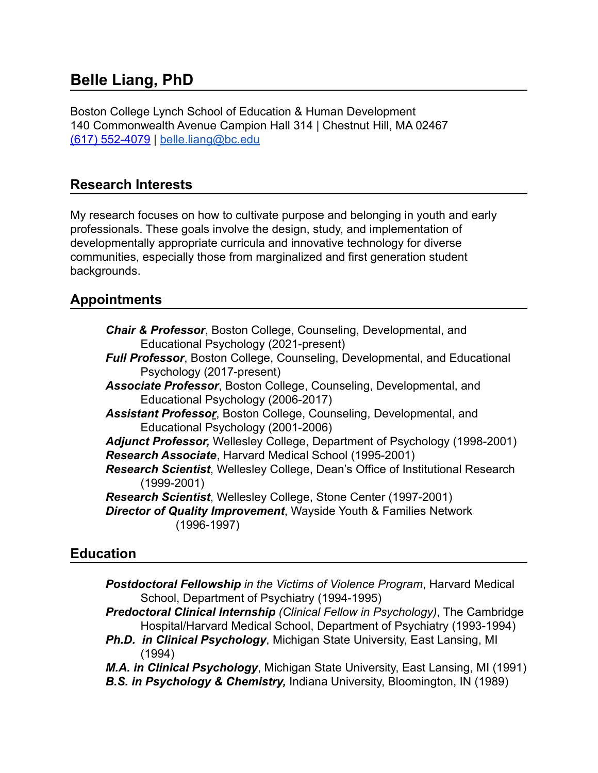# **Belle Liang, PhD**

Boston College Lynch School of Education & Human Development 140 Commonwealth Avenue Campion Hall 314 | Chestnut Hill, MA 02467 (617) 552-4079 | [belle.liang@bc.edu](mailto:belle.liang@bc.edu)

## **Research Interests**

My research focuses on how to cultivate purpose and belonging in youth and early professionals. These goals involve the design, study, and implementation of developmentally appropriate curricula and innovative technology for diverse communities, especially those from marginalized and first generation student backgrounds.

## **Appointments**

| <b>Chair &amp; Professor</b> , Boston College, Counseling, Developmental, and<br>Educational Psychology (2021-present)                                         |
|----------------------------------------------------------------------------------------------------------------------------------------------------------------|
| <b>Full Professor, Boston College, Counseling, Developmental, and Educational</b><br>Psychology (2017-present)                                                 |
| Associate Professor, Boston College, Counseling, Developmental, and<br>Educational Psychology (2006-2017)                                                      |
| <b>Assistant Professor</b> , Boston College, Counseling, Developmental, and<br>Educational Psychology (2001-2006)                                              |
| Adjunct Professor, Wellesley College, Department of Psychology (1998-2001)<br>Research Associate, Harvard Medical School (1995-2001)                           |
| <b>Research Scientist, Wellesley College, Dean's Office of Institutional Research</b><br>$(1999 - 2001)$                                                       |
| Research Scientist, Wellesley College, Stone Center (1997-2001)<br><b>Director of Quality Improvement, Wayside Youth &amp; Families Network</b><br>(1996-1997) |

### **Education**

| <b>Postdoctoral Fellowship</b> in the Victims of Violence Program, Harvard Medical |
|------------------------------------------------------------------------------------|
| School, Department of Psychiatry (1994-1995)                                       |

- *Predoctoral Clinical Internship (Clinical Fellow in Psychology)*, The Cambridge Hospital/Harvard Medical School, Department of Psychiatry (1993-1994)
- *Ph.D. in Clinical Psychology*, Michigan State University, East Lansing, MI (1994)
- *M.A. in Clinical Psychology*, Michigan State University, East Lansing, MI (1991)
- *B.S. in Psychology & Chemistry,* Indiana University, Bloomington, IN (1989)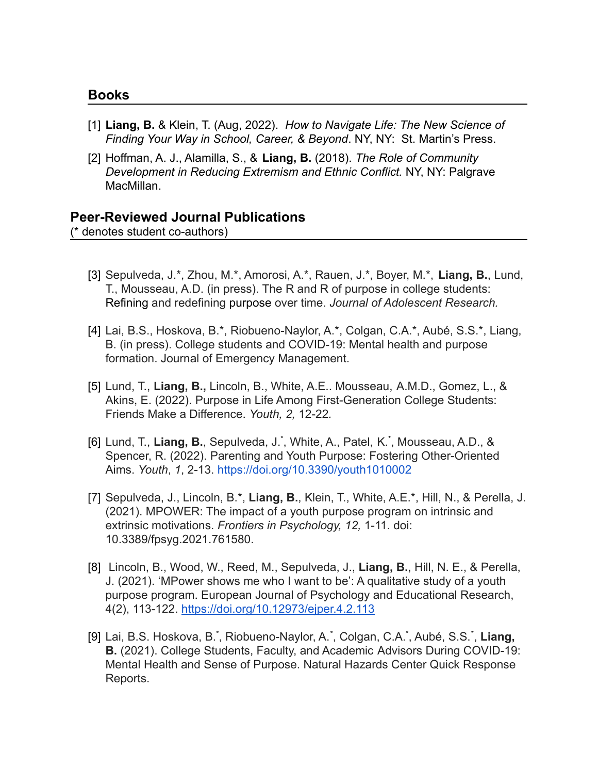#### **Books**

- [1] **Liang, B.** & Klein, T. (Aug, 2022). *How to Navigate Life: The New Science of Finding Your Way in School, Career, & Beyond*. NY, NY: St. Martin's Press.
- [2] Hoffman, A. J., Alamilla, S., & **Liang, B.** (2018). *The Role of Community Development in Reducing Extremism and Ethnic Conflict.* NY, NY: Palgrave MacMillan.

#### **Peer-Reviewed Journal Publications**

(\* denotes student co-authors)

- [3] Sepulveda, J.\*, Zhou, M.\*, Amorosi, A.\*, Rauen, J.\*, Boyer, M.\*, **Liang, B.**, Lund, T., Mousseau, A.D. (in press). The R and R of purpose in college students: Refining and redefining purpose over time. *Journal of Adolescent Research.*
- [4] Lai, B.S., Hoskova, B.\*, Riobueno-Naylor, A.\*, Colgan, C.A.\*, Aubé, S.S.\*, Liang, B. (in press). College students and COVID-19: Mental health and purpose formation. Journal of Emergency Management.
- [5] Lund, T., **Liang, B.,** Lincoln, B., White, A.E.. Mousseau, A.M.D., Gomez, L., & Akins, E. (2022). Purpose in Life Among First-Generation College Students: Friends Make a Difference. *Youth, 2,* 12-22*.*
- [6] Lund, T., Liang, B., Sepulveda, J.<sup>\*</sup>, White, A., Patel, K.<sup>\*</sup>, Mousseau, A.D., & Spencer, R. (2022). Parenting and Youth Purpose: Fostering Other-Oriented Aims. *Youth*, *1*, 2-13. <https://doi.org/10.3390/youth1010002>
- [7] Sepulveda, J., Lincoln, B.\*, **Liang, B.**, Klein, T., White, A.E.\*, Hill, N., & Perella, J. (2021). MPOWER: The impact of a youth purpose program on intrinsic and extrinsic motivations. *Frontiers in Psychology, 12,* 1-11. doi: 10.3389/fpsyg.2021.761580.
- [8] Lincoln, B., Wood, W., Reed, M., Sepulveda, J., **Liang, B.**, Hill, N. E., & Perella, J. (2021). 'MPower shows me who I want to be': A qualitative study of a youth purpose program. European Journal of Psychology and Educational Research, 4(2), 113-122. <https://doi.org/10.12973/ejper.4.2.113>
- [9] Lai, B.S. Hoskova, B.\* , Riobueno-Naylor, A.\* , Colgan, C.A.\* , Aubé, S.S.\* , **Liang, B.** (2021). College Students, Faculty, and Academic Advisors During COVID-19: Mental Health and Sense of Purpose. Natural Hazards Center Quick Response Reports[.](https://hazards.colorado.edu/quick-response-report/college-students-faculty-and-academic-advisors-during-covid-19)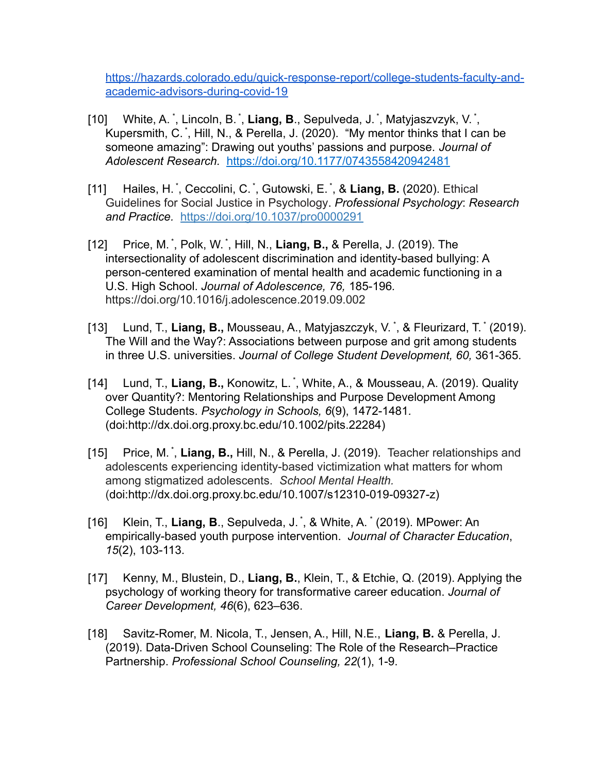[https://hazards.colorado.edu/quick-response-report/college-students-faculty-and](https://hazards.colorado.edu/quick-response-report/college-students-faculty-and-academic-advisors-during-covid-19)[academic-advisors-during-covid-19](https://hazards.colorado.edu/quick-response-report/college-students-faculty-and-academic-advisors-during-covid-19)

- [10] White, A. \*, Lincoln, B. \*, Liang, B., Sepulveda, J. \*, Matyjaszvzyk, V. \*, Kupersmith, C. \* , Hill, N., & Perella, J. (2020). "My mentor thinks that I can be someone amazing": Drawing out youths' passions and purpose. *Journal of Adolescent Research.* <https://doi.org/10.1177/0743558420942481>
- [11] Hailes, H. \* , Ceccolini, C. \* , Gutowski, E. \* , & **Liang, B.** (2020). Ethical Guidelines for Social Justice in Psychology. *Professional Psychology*: *Research and Practice.* [https://doi.org/10.1037/pro0000291](https://psycnet.apa.org/doi/10.1037/pro0000291)
- [12] Price, M.<sup>\*</sup>, Polk, W.<sup>\*</sup>, Hill, N., Liang, B., & Perella, J. (2019). The intersectionality of adolescent discrimination and identity-based bullying: A person-centered examination of mental health and academic functioning in a U.S. High School. *Journal of Adolescence, 76,* 185-196*.* https://doi.org/10.1016/j.adolescence.2019.09.002
- [13] Lund, T., Liang, B., Mousseau, A., Matyjaszczyk, V.<sup>\*</sup>, & Fleurizard, T.<sup>\*</sup> (2019). The Will and the Way?: Associations between purpose and grit among students in three U.S. universities. *Journal of College Student Development, 60,* 361-365*.*
- [14] Lund, T., **Liang, B.,** Konowitz, L. \* , White, A., & Mousseau, A. (2019). Quality over Quantity?: Mentoring Relationships and Purpose Development Among College Students. *Psychology in Schools, 6*(9), 1472-1481*.* (doi:http://dx.doi.org.proxy.bc.edu/10.1002/pits.22284)
- [15] Price, M.<sup>\*</sup>, Liang, B., Hill, N., & Perella, J. (2019). Teacher relationships and adolescents experiencing identity-based victimization what matters for whom among stigmatized adolescents. *School Mental Health.* (doi:http://dx.doi.org.proxy.bc.edu/10.1007/s12310-019-09327-z)
- [16] Klein, T., **Liang, B**., Sepulveda, J. \* , & White, A. \* (2019). MPower: An empirically-based youth purpose intervention. *Journal of Character Education*, *15*(2), 103-113.
- [17] Kenny, M., Blustein, D., **Liang, B.**, Klein, T., & Etchie, Q. (2019). Applying the psychology of working theory for transformative career education. *Journal of Career Development, 46*(6), 623–636.
- [18] Savitz-Romer, M. Nicola, T., Jensen, A., Hill, N.E., **Liang, B.** & Perella, J. (2019). Data-Driven School Counseling: The Role of the Research–Practice Partnership. *Professional School Counseling, 22*(1), 1-9.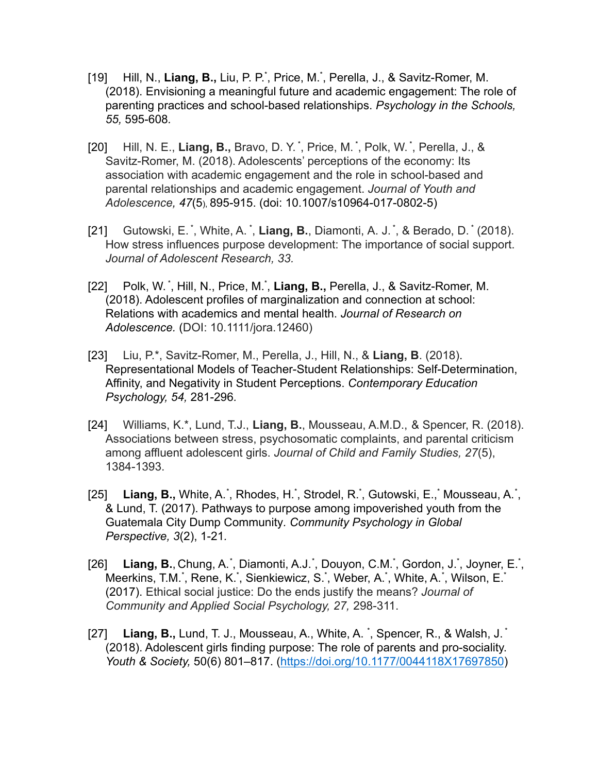- [19] Hill, N., Liang, B., Liu, P. P.<sup>\*</sup>, Price, M.<sup>\*</sup>, Perella, J., & Savitz-Romer, M. (2018). Envisioning a meaningful future and academic engagement: The role of parenting practices and school-based relationships. *Psychology in the Schools, 55,* 595-608*.*
- [20] Hill, N. E., Liang, B., Bravo, D. Y.<sup>\*</sup>, Price, M.<sup>\*</sup>, Polk, W.<sup>\*</sup>, Perella, J., & Savitz-Romer, M. (2018). Adolescents' perceptions of the economy: Its association with academic engagement and the role in school-based and parental relationships and academic engagement. *Journal of Youth and Adolescence, 47*(5), 895-915. (doi: 10.1007/s10964-017-0802-5)
- [21] Gutowski, E.<sup>\*</sup>, White, A.<sup>\*</sup>, Liang, B., Diamonti, A. J.<sup>\*</sup>, & Berado, D.<sup>\*</sup> (2018). How stress influences purpose development: The importance of social support. *Journal of Adolescent Research, 33.*
- [22] Polk, W.<sup>\*</sup>, Hill, N., Price, M.<sup>\*</sup>, Liang, B., Perella, J., & Savitz-Romer, M. (2018). Adolescent profiles of marginalization and connection at school: Relations with academics and mental health. *Journal of Research on Adolescence.* (DOI: 10.1111/jora.12460)
- [23] Liu, P.\*, Savitz-Romer, M., Perella, J., Hill, N., & **Liang, B**. (2018). Representational Models of Teacher-Student Relationships: Self-Determination, Affinity, and Negativity in Student Perceptions. *Contemporary Education Psychology, 54,* 281-296*.*
- [24] Williams, K.\*, Lund, T.J., **Liang, B.**, Mousseau, A.M.D., & Spencer, R. (2018). Associations between stress, psychosomatic complaints, and parental criticism among affluent adolescent girls. *Journal of Child and Family Studies, 27*(5), 1384-1393.
- [25] Liang, B., White, A.<sup>\*</sup>, Rhodes, H.<sup>\*</sup>, Strodel, R.<sup>\*</sup>, Gutowski, E.,<sup>\*</sup> Mousseau, A.<sup>\*</sup>, & Lund, T. (2017). Pathways to purpose among impoverished youth from the Guatemala City Dump Community*. Community Psychology in Global Perspective, 3*(2), 1-21*.*
- [26] Liang, B., Chung, A.<sup>\*</sup>, Diamonti, A.J.<sup>\*</sup>, Douyon, C.M.<sup>\*</sup>, Gordon, J.<sup>\*</sup>, Joyner, E.<sup>\*</sup>, Meerkins, T.M.\*, Rene, K.\*, Sienkiewicz, S.\*, Weber, A.\*, White, A.\*, Wilson, E.\* (2017). Ethical social justice: Do the ends justify the means? *Journal of Community and Applied Social Psychology, 27,* 298-311.
- [27] Liang, B., Lund, T. J., Mousseau, A., White, A. <sup>\*</sup>, Spencer, R., & Walsh, J.<sup>\*</sup> (2018). Adolescent girls finding purpose: The role of parents and pro-sociality. *Youth & Society,* 50(6) 801–817. [\(https://doi.org/10.1177/0044118X17697850](https://doi.org/10.1177%2F0044118X17697850))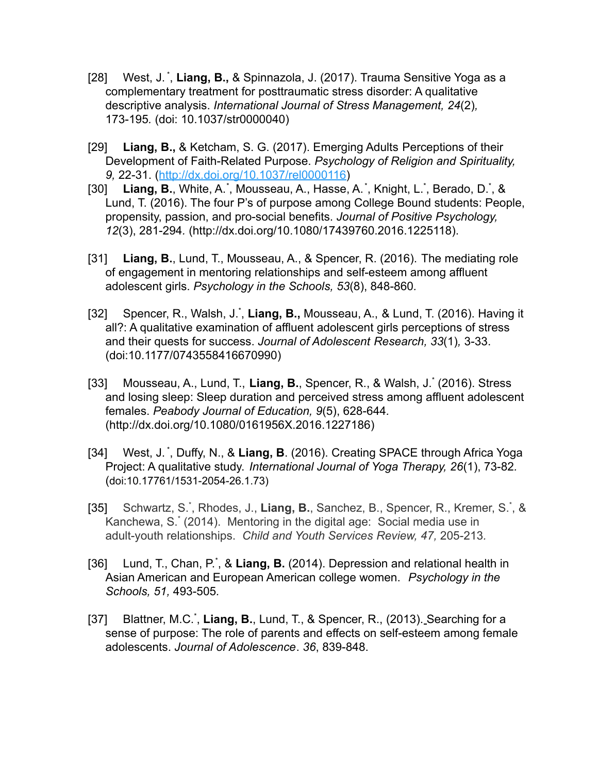- [28] West, J.<sup>\*</sup>, Liang, B., & Spinnazola, J. (2017). Trauma Sensitive Yoga as a complementary treatment for posttraumatic stress disorder: A qualitative descriptive analysis. *International Journal of Stress Management, 24*(2)*,* 173-195*.* (doi: 10.1037/str0000040)
- [29] **Liang, B.,** & Ketcham, S. G. (2017). Emerging Adults Perceptions of their Development of Faith-Related Purpose. *Psychology of Religion and Spirituality, 9,* 22-31. ([http://dx.doi.org/10.1037/rel0000116\)](http://psycnet.apa.org/doi/10.1037/rel0000116)
- [30] Liang, B., White, A.<sup>\*</sup>, Mousseau, A., Hasse, A.<sup>\*</sup>, Knight, L.<sup>\*</sup>, Berado, D.<sup>\*</sup>, & Lund, T. (2016). The four P's of purpose among College Bound students: People, propensity, passion, and pro-social benefits. *Journal of Positive Psychology, 12*(3), 281-294*.* [\(http://dx.doi.org/10.1080/17439760.2016.1225118\)](http://dx.doi.org/10.1080/17439760.2016.1225118).
- [31] **Liang, B.**, Lund, T., Mousseau, A., & Spencer, R. (2016). The mediating role of engagement in mentoring relationships and self-esteem among affluent adolescent girls. *Psychology in the Schools, 53*(8), 848-860*.*
- [32] Spencer, R., Walsh, J.<sup>\*</sup>, Liang, B., Mousseau, A., & Lund, T. (2016). Having it all?: A qualitative examination of affluent adolescent girls perceptions of stress and their quests for success. *Journal of Adolescent Research, 33*(1)*,* 3-33. (doi:10.1177/0743558416670990)
- [33] Mousseau, A., Lund, T., **Liang, B.**, Spencer, R., & Walsh, J.\* (2016). Stress and losing sleep: Sleep duration and perceived stress among affluent adolescent females. *Peabody Journal of Education, 9*(5), 628-644*.* ([http://dx.doi.org/10.1080/0161956X.2016.1227186\)](http://dx.doi.org/10.1080/0161956X.2016.1227186)
- [34] West, J.<sup>\*</sup>, Duffy, N., & Liang, B. (2016). Creating SPACE through Africa Yoga Project: A qualitative study. *International Journal of Yoga Therapy, 26*(1), 73-82*.* (doi:[10.17761/1531-2054-26.1.73\)](https://doi.org/10.17761/1531-2054-26.1.73)
- [35] Schwartz, S.<sup>\*</sup>, Rhodes, J., Liang, B., Sanchez, B., Spencer, R., Kremer, S.<sup>\*</sup>, & Kanchewa, S.\* (2014). Mentoring in the digital age: Social media use in adult-youth relationships. *Child and Youth Services Review, 47,* 205-213*.*
- [36] Lund, T., Chan, P.<sup>\*</sup>, & Liang, B. (2014). Depression and relational health in Asian American and European American college women. *Psychology in the Schools, 51,* 493-505*.*
- [37] Blattner, M.C.<sup>\*</sup>, Liang, B., Lund, T., & Spencer, R., (2013). Searching for a sense of purpose: The role of parents and effects on self-esteem among female adolescents. *Journal of Adolescence*. *36*, 839-848.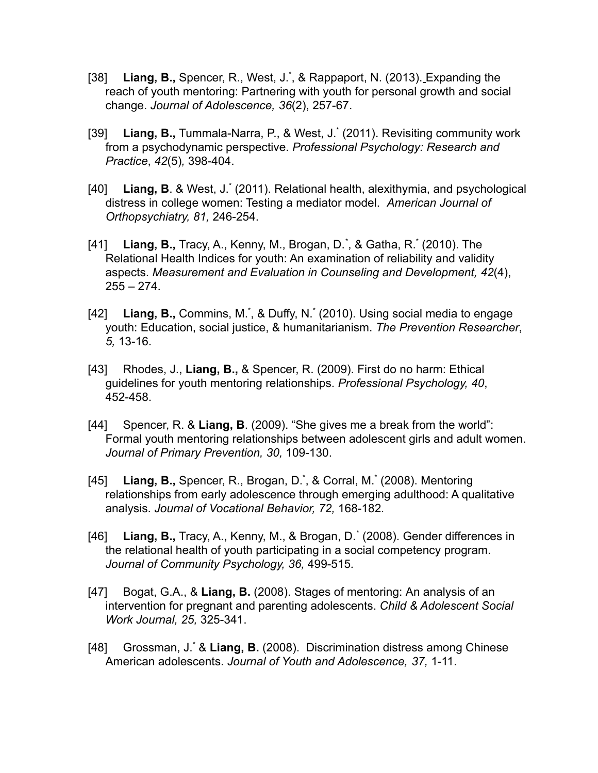- [38] Liang, B., Spencer, R., West, J.<sup>\*</sup>, & Rappaport, N. (2013). Expanding the reach of youth mentoring: Partnering with youth for personal growth and social change. *Journal of Adolescence, 36*(2), 257-67.
- [39] Liang, B., Tummala-Narra, P., & West, J.<sup>\*</sup> (2011). Revisiting community work from a psychodynamic perspective. *Professional Psychology: Research and Practice*, *42*(5)*,* 398-404.
- [40] Liang, B. & West, J.<sup>\*</sup> (2011). Relational health, alexithymia, and psychological distress in college women: Testing a mediator model. *American Journal of Orthopsychiatry, 81,* 246-254.
- [41] Liang, B., Tracy, A., Kenny, M., Brogan, D.<sup>\*</sup>, & Gatha, R.<sup>\*</sup> (2010). The Relational Health Indices for youth: An examination of reliability and validity aspects. *Measurement and Evaluation in Counseling and Development, 42*(4),  $255 - 274$ .
- [42] Liang, B., Commins, M.<sup>\*</sup>, & Duffy, N.<sup>\*</sup> (2010). Using social media to engage youth: Education, social justice, & humanitarianism. *The Prevention Researcher*, *5,* 13-16.
- [43] Rhodes, J., **Liang, B.,** & Spencer, R. (2009). First do no harm: Ethical guidelines for youth mentoring relationships. *Professional Psychology, 40*, 452-458.
- [44] Spencer, R. & **Liang, B**. (2009). "She gives me a break from the world": Formal youth mentoring relationships between adolescent girls and adult women. *Journal of Primary Prevention, 30,* 109-130.
- [45] Liang, B., Spencer, R., Brogan, D.<sup>\*</sup>, & Corral, M.<sup>\*</sup> (2008). Mentoring relationships from early adolescence through emerging adulthood: A qualitative analysis. *Journal of Vocational Behavior, 72,* 168-182*.*
- [46] Liang, B., Tracy, A., Kenny, M., & Brogan, D.<sup>\*</sup> (2008). Gender differences in the relational health of youth participating in a social competency program. *Journal of Community Psychology, 36,* 499-515*.*
- [47] Bogat, G.A., & **Liang, B.** (2008). Stages of mentoring: An analysis of an intervention for pregnant and parenting adolescents. *Child & Adolescent Social Work Journal, 25,* 325-341.
- [48] Grossman, J.\* & **Liang, B.** (2008). Discrimination distress among Chinese American adolescents. *Journal of Youth and Adolescence, 37,* 1-11.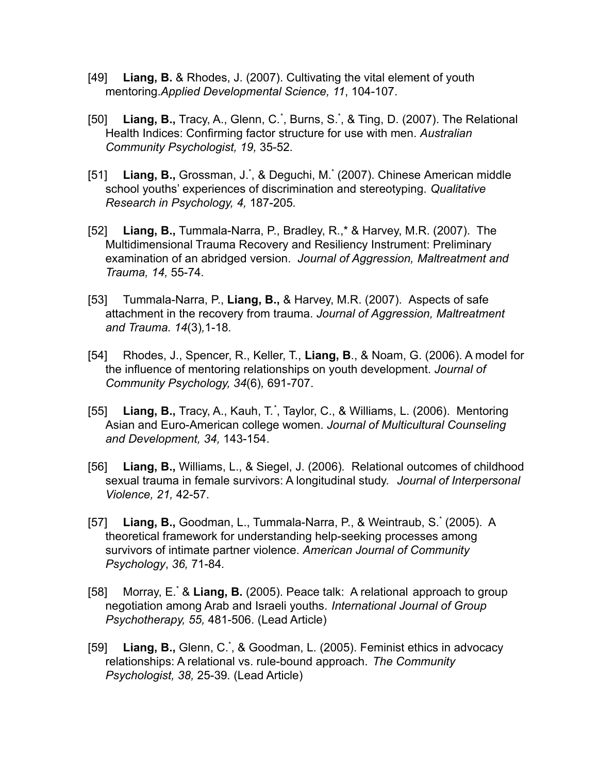- [49] **Liang, B.** & Rhodes, J. (2007). Cultivating the vital element of youth mentoring.*Applied Developmental Science, 11*, 104-107.
- [50] Liang, B., Tracy, A., Glenn, C.<sup>\*</sup>, Burns, S.<sup>\*</sup>, & Ting, D. (2007). The Relational Health Indices: Confirming factor structure for use with men. *Australian Community Psychologist, 19,* 35-52*.*
- [51] Liang, B., Grossman, J.<sup>\*</sup>, & Deguchi, M.<sup>\*</sup> (2007). Chinese American middle school youths' experiences of discrimination and stereotyping. *Qualitative Research in Psychology, 4,* 187-205*.*
- [52] **Liang, B.,** Tummala-Narra, P., Bradley, R.,\* & Harvey, M.R. (2007). The Multidimensional Trauma Recovery and Resiliency Instrument: Preliminary examination of an abridged version. *Journal of Aggression, Maltreatment and Trauma, 14,* 55-74*.*
- [53] Tummala-Narra, P., **Liang, B.,** & Harvey, M.R. (2007). Aspects of safe attachment in the recovery from trauma. *Journal of Aggression, Maltreatment and Trauma. 14*(3)*,*1-18*.*
- [54] Rhodes, J., Spencer, R., Keller, T., **Liang, B**., & Noam, G. (2006). A model for the influence of mentoring relationships on youth development. *Journal of Community Psychology, 34*(6)*,* 691-707.
- [55] Liang, B., Tracy, A., Kauh, T.<sup>\*</sup>, Taylor, C., & Williams, L. (2006). Mentoring Asian and Euro-American college women. *Journal of Multicultural Counseling and Development, 34,* 143-154.
- [56] **Liang, B.,** Williams, L., & Siegel, J. (2006)*.* Relational outcomes of childhood sexual trauma in female survivors: A longitudinal study. *Journal of Interpersonal Violence, 21,* 42-57.
- [57] **Liang, B.,** Goodman, L., Tummala-Narra, P., & Weintraub, S.\* (2005). A theoretical framework for understanding help-seeking processes among survivors of intimate partner violence. *American Journal of Community Psychology*, *36,* 71-84*.*
- [58] Morray, E.\* & **Liang, B.** (2005). Peace talk: A relational approach to group negotiation among Arab and Israeli youths. *International Journal of Group Psychotherapy, 55,* 481-506. (Lead Article)
- [59] Liang, B., Glenn, C.<sup>\*</sup>, & Goodman, L. (2005). Feminist ethics in advocacy relationships: A relational vs. rule-bound approach. *The Community Psychologist, 38,* 25-39*.* (Lead Article)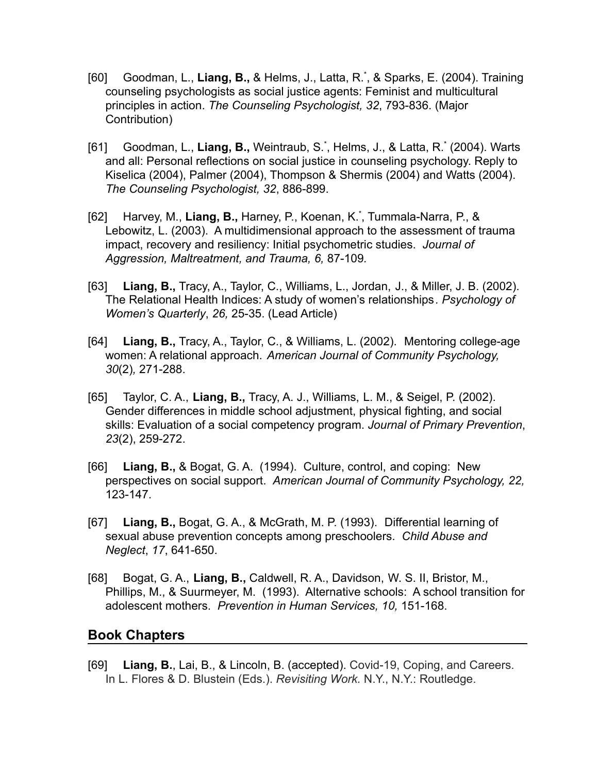- [60] Goodman, L., **Liang, B.,** & Helms, J., Latta, R.\* , & Sparks, E. (2004). Training counseling psychologists as social justice agents: Feminist and multicultural principles in action. *The Counseling Psychologist, 32*, 793-836. (Major Contribution)
- [61] Goodman, L., **Liang, B.,** Weintraub, S.\* , Helms, J., & Latta, R.\* (2004). Warts and all: Personal reflections on social justice in counseling psychology. Reply to Kiselica (2004), Palmer (2004), Thompson & Shermis (2004) and Watts (2004). *The Counseling Psychologist, 32*, 886-899.
- [62] Harvey, M., **Liang, B.,** Harney, P., Koenan, K.\* , Tummala-Narra, P., & Lebowitz, L. (2003). A multidimensional approach to the assessment of trauma impact, recovery and resiliency: Initial psychometric studies. *Journal of Aggression, Maltreatment, and Trauma, 6,* 87-109*.*
- [63] **Liang, B.,** Tracy, A., Taylor, C., Williams, L., Jordan, J., & Miller, J. B. (2002). The Relational Health Indices: A study of women's relationships*. Psychology of Women's Quarterly*, *26,* 25-35. (Lead Article)
- [64] **Liang, B.,** Tracy, A., Taylor, C., & Williams, L. (2002). Mentoring college-age women: A relational approach. *American Journal of Community Psychology, 30*(2)*,* 271-288.
- [65] Taylor, C. A., **Liang, B.,** Tracy, A. J., Williams, L. M., & Seigel, P. (2002). Gender differences in middle school adjustment, physical fighting, and social skills: Evaluation of a social competency program. *Journal of Primary Prevention*, *23*(2), 259-272.
- [66] **Liang, B.,** & Bogat, G. A. (1994). Culture, control, and coping: New perspectives on social support. *American Journal of Community Psychology, 22,* 123-147.
- [67] **Liang, B.,** Bogat, G. A., & McGrath, M. P. (1993). Differential learning of sexual abuse prevention concepts among preschoolers. *Child Abuse and Neglect*, *17*, 641-650.
- [68] Bogat, G. A., **Liang, B.,** Caldwell, R. A., Davidson, W. S. II, Bristor, M., Phillips, M., & Suurmeyer, M. (1993). Alternative schools: A school transition for adolescent mothers. *Prevention in Human Services, 10,* 151-168.

### **Book Chapters**

[69] **Liang, B.**, Lai, B., & Lincoln, B. (accepted). Covid-19, Coping, and Careers. In L. Flores & D. Blustein (Eds.). *Revisiting Work.* N.Y., N.Y.: Routledge.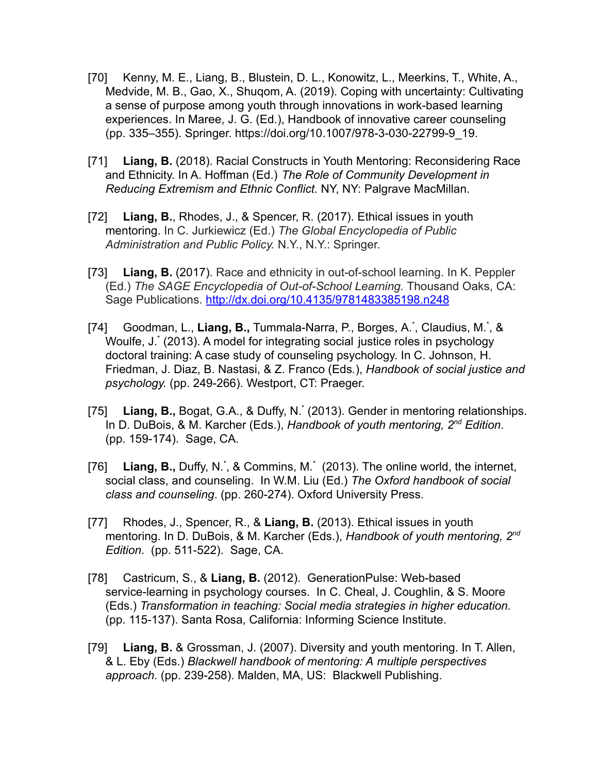- [70] Kenny, M. E., Liang, B., Blustein, D. L., Konowitz, L., Meerkins, T., White, A., Medvide, M. B., Gao, X., Shuqom, A. (2019). Coping with uncertainty: Cultivating a sense of purpose among youth through innovations in work-based learning experiences. In Maree, J. G. (Ed.), Handbook of innovative career counseling (pp. 335–355). Springer. [https://doi.org/10.1007/978-3-030-22799-9\\_19](https://doi.org/10.1007/978-3-030-22799-9_19).
- [71] **Liang, B.** (2018). Racial Constructs in Youth Mentoring: Reconsidering Race and Ethnicity. In A. Hoffman (Ed.) *The Role of Community Development in Reducing Extremism and Ethnic Conflict.* NY, NY: Palgrave MacMillan.
- [72] **Liang, B.**, Rhodes, J., & Spencer, R. (2017). Ethical issues in youth mentoring. In C. Jurkiewicz (Ed.) *The Global Encyclopedia of Public Administration and Public Policy.* N.Y., N.Y.: Springer.
- [73] **Liang, B.** (2017). Race and ethnicity in out-of-school learning. In K. Peppler (Ed.) *The SAGE Encyclopedia of Out-of-School Learning.* Thousand Oaks, CA: Sage Publications. <http://dx.doi.org/10.4135/9781483385198.n248>
- [74] Goodman, L., Liang, B., Tummala-Narra, P., Borges, A.<sup>\*</sup>, Claudius, M.<sup>\*</sup>, & Woulfe, J.\* (2013). A model for integrating social justice roles in psychology doctoral training: A case study of counseling psychology. In C. Johnson, H. Friedman, J. Diaz, B. Nastasi, & Z. Franco (Eds*.*), *Handbook of social justice and psychology.* (pp. 249-266). Westport, CT: Praeger.
- [75] Liang, B., Bogat, G.A., & Duffy, N.<sup>\*</sup> (2013). Gender in mentoring relationships. In D. DuBois, & M. Karcher (Eds.), *Handbook of youth mentoring, 2nd Edition*. (pp. 159-174). Sage, CA.
- [76] Liang, B., Duffy, N.<sup>\*</sup>, & Commins, M.<sup>\*</sup> (2013). The online world, the internet, social class, and counseling. In W.M. Liu (Ed.) *The Oxford handbook of social class and counseling*. (pp. 260-274). Oxford University Press.
- [77] Rhodes, J., Spencer, R., & **Liang, B.** (2013). Ethical issues in youth mentoring. In D. DuBois, & M. Karcher (Eds.), *Handbook of youth mentoring, 2nd Edition*. (pp. 511-522). Sage, CA.
- [78] Castricum, S., & **Liang, B.** (2012). GenerationPulse: Web-based service-learning in psychology courses. In C. Cheal, J. Coughlin, & S. Moore (Eds.) *Transformation in teaching: Social media strategies in higher education.* (pp. 115-137). Santa Rosa, California: Informing Science Institute.
- [79] **Liang, B.** & Grossman, J. (2007). Diversity and youth mentoring. In T. Allen, & L. Eby (Eds.) *Blackwell handbook of mentoring: A multiple perspectives approach.* (pp. 239-258). Malden, MA, US: Blackwell Publishing.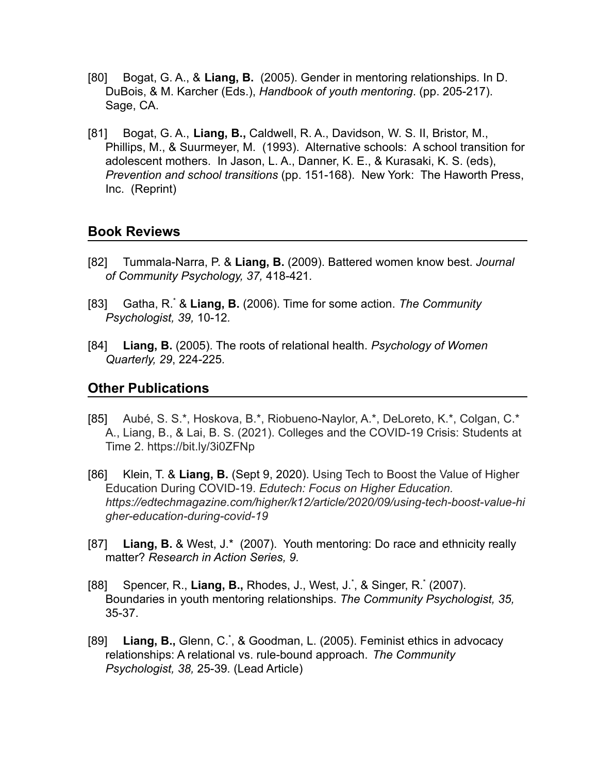- [80] Bogat, G. A., & **Liang, B.** (2005). Gender in mentoring relationships*.* In D. DuBois, & M. Karcher (Eds.), *Handbook of youth mentoring*. (pp. 205-217). Sage, CA.
- [81] Bogat, G. A., **Liang, B.,** Caldwell, R. A., Davidson, W. S. II, Bristor, M., Phillips, M., & Suurmeyer, M. (1993). Alternative schools: A school transition for adolescent mothers. In Jason, L. A., Danner, K. E., & Kurasaki, K. S. (eds), *Prevention and school transitions* (pp. 151-168). New York: The Haworth Press, Inc. (Reprint)

#### **Book Reviews**

- [82] Tummala-Narra, P. & **Liang, B.** (2009). Battered women know best. *Journal of Community Psychology, 37,* 418-421*.*
- [83] Gatha, R.\* & **Liang, B.** (2006). Time for some action. *The Community Psychologist, 39,* 10-12*.*
- [84] **Liang, B.** (2005). The roots of relational health. *Psychology of Women Quarterly, 29*, 224-225*.*

#### **Other Publications**

- [85] Aubé, S. S.\*, Hoskova, B.\*, Riobueno-Naylor, A.\*, DeLoreto, K.\*, Colgan, C.\* A., Liang, B., & Lai, B. S. (2021). Colleges and the COVID-19 Crisis: Students at Time 2. https://bit.ly/3i0ZFNp
- [86] Klein, T. & **Liang, B.** (Sept 9, 2020). Using Tech to Boost the Value of Higher Education During COVID-19. *Edutech: Focus on Higher Education. https://edtechmagazine.com/higher/k12/article/2020/09/using-tech-boost-value-hi gher-education-during-covid-19*
- [87] **Liang, B.** & West, J.\* (2007). Youth mentoring: Do race and ethnicity really matter? *Research in Action Series, 9.*
- [88] Spencer, R., Liang, B., Rhodes, J., West, J.<sup>\*</sup>, & Singer, R.<sup>\*</sup> (2007). Boundaries in youth mentoring relationships. *The Community Psychologist, 35,* 35-37.
- [89] Liang, B., Glenn, C.<sup>\*</sup>, & Goodman, L. (2005). Feminist ethics in advocacy relationships: A relational vs. rule-bound approach. *The Community Psychologist, 38,* 25-39*.* (Lead Article)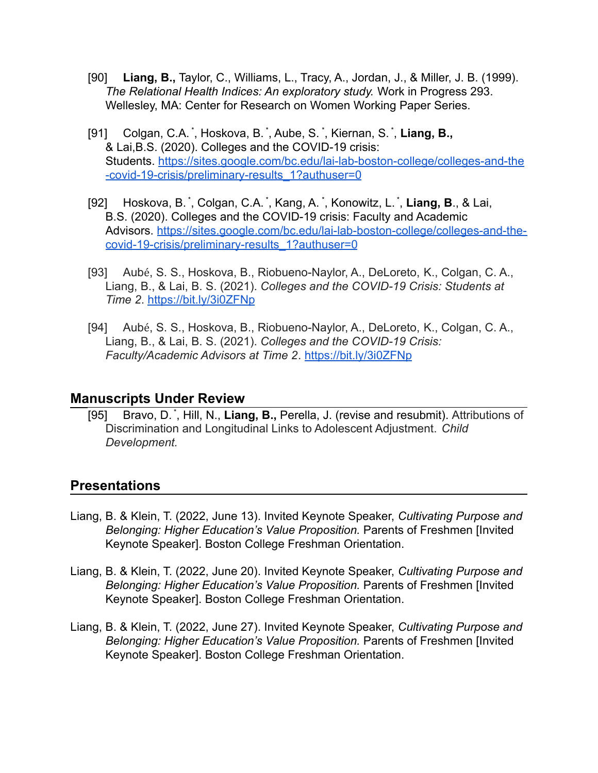- [90] **Liang, B.,** Taylor, C., Williams, L., Tracy, A., Jordan, J., & Miller, J. B. (1999). *The Relational Health Indices: An exploratory study.* Work in Progress 293. Wellesley, MA: Center for Research on Women Working Paper Series.
- [91] Colgan, C.A. \* , Hoskova, B. \* , Aube, S. \* , Kiernan, S. \* , **Liang, B.,** & Lai,B.S. (2020). Colleges and the COVID-19 crisis: Students. [https://sites.google.com/bc.edu/lai-lab-boston-college/colleges-and-the](https://sites.google.com/bc.edu/lai-lab-boston-college/colleges-and-the-covid-19-crisis/preliminary-results_1?authuser=0) [-covid-19-crisis/preliminary-results\\_1?authuser=0](https://sites.google.com/bc.edu/lai-lab-boston-college/colleges-and-the-covid-19-crisis/preliminary-results_1?authuser=0)
- [92] Hoskova, B. \* , Colgan, C.A. \* , Kang, A. \* , Konowitz, L. \* , **Liang, B**., & Lai, B.S. (2020). Colleges and the COVID-19 crisis: Faculty and Academic Advisors. [https://sites.google.com/bc.edu/lai-lab-boston-college/colleges-and-the](https://sites.google.com/bc.edu/lai-lab-boston-college/colleges-and-the-covid-19-crisis/preliminary-results_1?authuser=0)[covid-19-crisis/preliminary-results\\_1?authuser=0](https://sites.google.com/bc.edu/lai-lab-boston-college/colleges-and-the-covid-19-crisis/preliminary-results_1?authuser=0)
- [93] Aubé, S. S., Hoskova, B., Riobueno-Naylor, A., DeLoreto, K., Colgan, C. A., Liang, B., & Lai, B. S. (2021). *Colleges and the COVID-19 Crisis: Students at Time 2*. <https://bit.ly/3i0ZFNp>
- [94] Aubé, S. S., Hoskova, B., Riobueno-Naylor, A., DeLoreto, K., Colgan, C. A., Liang, B., & Lai, B. S. (2021). *Colleges and the COVID-19 Crisis: Faculty/Academic Advisors at Time 2*. <https://bit.ly/3i0ZFNp>

#### **Manuscripts Under Review**

[95] Bravo, D.<sup>\*</sup>, Hill, N., Liang, B., Perella, J. (revise and resubmit). Attributions of Discrimination and Longitudinal Links to Adolescent Adjustment. *Child Development.*

### **Presentations**

- Liang, B. & Klein, T. (2022, June 13). Invited Keynote Speaker, *Cultivating Purpose and Belonging: Higher Education's Value Proposition.* Parents of Freshmen [Invited Keynote Speaker]. Boston College Freshman Orientation.
- Liang, B. & Klein, T. (2022, June 20). Invited Keynote Speaker, *Cultivating Purpose and Belonging: Higher Education's Value Proposition.* Parents of Freshmen [Invited Keynote Speaker]. Boston College Freshman Orientation.
- Liang, B. & Klein, T. (2022, June 27). Invited Keynote Speaker, *Cultivating Purpose and Belonging: Higher Education's Value Proposition.* Parents of Freshmen [Invited Keynote Speaker]. Boston College Freshman Orientation.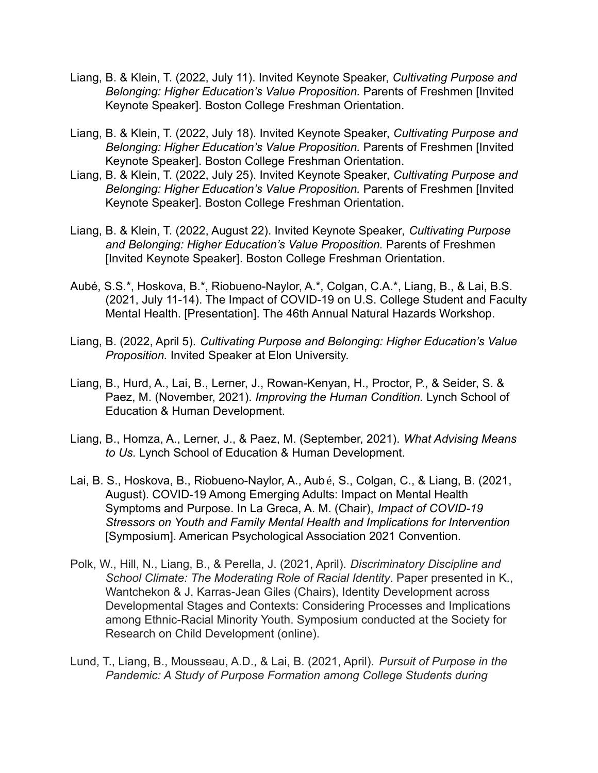- Liang, B. & Klein, T. (2022, July 11). Invited Keynote Speaker, *Cultivating Purpose and Belonging: Higher Education's Value Proposition.* Parents of Freshmen [Invited Keynote Speaker]. Boston College Freshman Orientation.
- Liang, B. & Klein, T. (2022, July 18). Invited Keynote Speaker, *Cultivating Purpose and Belonging: Higher Education's Value Proposition.* Parents of Freshmen [Invited Keynote Speaker]. Boston College Freshman Orientation.
- Liang, B. & Klein, T. (2022, July 25). Invited Keynote Speaker, *Cultivating Purpose and Belonging: Higher Education's Value Proposition.* Parents of Freshmen [Invited Keynote Speaker]. Boston College Freshman Orientation.
- Liang, B. & Klein, T. (2022, August 22). Invited Keynote Speaker, *Cultivating Purpose and Belonging: Higher Education's Value Proposition.* Parents of Freshmen [Invited Keynote Speaker]. Boston College Freshman Orientation.
- Aubé, S.S.\*, Hoskova, B.\*, Riobueno-Naylor, A.\*, Colgan, C.A.\*, Liang, B., & Lai, B.S. (2021, July 11-14). The Impact of COVID-19 on U.S. College Student and Faculty Mental Health. [Presentation]. The 46th Annual Natural Hazards Workshop.
- Liang, B. (2022, April 5). *Cultivating Purpose and Belonging: Higher Education's Value Proposition.* Invited Speaker at Elon University.
- Liang, B., Hurd, A., Lai, B., Lerner, J., Rowan-Kenyan, H., Proctor, P., & Seider, S. & Paez, M. (November, 2021). *Improving the Human Condition.* Lynch School of Education & Human Development.
- Liang, B., Homza, A., Lerner, J., & Paez, M. (September, 2021). *What Advising Means to Us.* Lynch School of Education & Human Development.
- Lai, B. S., Hoskova, B., Riobueno-Naylor, A., Aubé, S., Colgan, C., & Liang, B. (2021, August). COVID-19 Among Emerging Adults: Impact on Mental Health Symptoms and Purpose. In La Greca, A. M. (Chair), *Impact of COVID-19 Stressors on Youth and Family Mental Health and Implications for Intervention* [Symposium]. American Psychological Association 2021 Convention.
- Polk, W., Hill, N., Liang, B., & Perella, J. (2021, April). *Discriminatory Discipline and School Climate: The Moderating Role of Racial Identity*. Paper presented in K., Wantchekon & J. Karras-Jean Giles (Chairs), Identity Development across Developmental Stages and Contexts: Considering Processes and Implications among Ethnic-Racial Minority Youth. Symposium conducted at the Society for Research on Child Development (online).
- Lund, T., Liang, B., Mousseau, A.D., & Lai, B. (2021, April). *Pursuit of Purpose in the Pandemic: A Study of Purpose Formation among College Students during*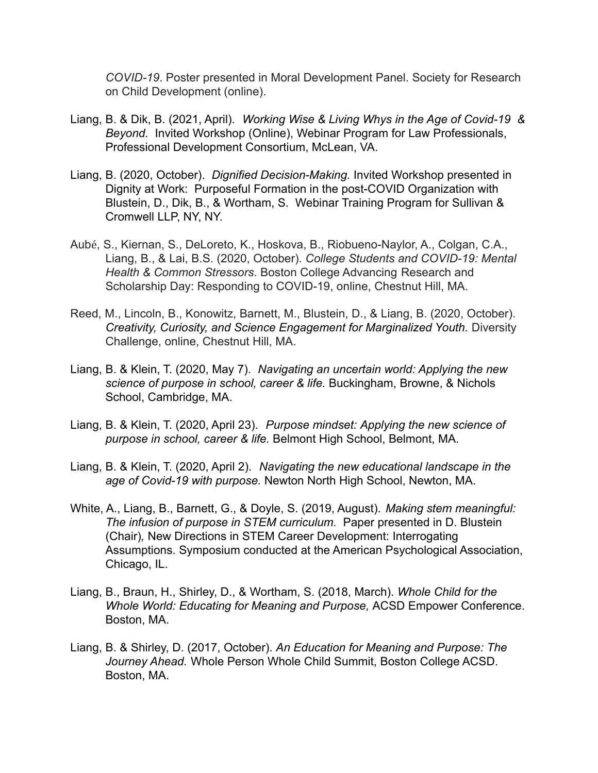*COVID-19*. Poster presented in Moral Development Panel. Society for Research on Child Development (online).

- Liang, B. & Dik, B. (2021, April). *Working Wise & Living Whys in the Age of Covid-19 & Beyond.* Invited Workshop (Online), Webinar Program for Law Professionals, Professional Development Consortium, McLean, VA.
- Liang, B. (2020, October). *Dignified Decision-Making.* Invited Workshop presented in Dignity at Work: Purposeful Formation in the post-COVID Organization with Blustein, D., Dik, B., & Wortham, S. Webinar Training Program for Sullivan & Cromwell LLP, NY, NY.
- Aubé, S., Kiernan, S., DeLoreto, K., Hoskova, B., Riobueno-Naylor, A., Colgan, C.A., Liang, B., & Lai, B.S. (2020, October). *College Students and COVID-19: Mental Health & Common Stressors*. Boston College Advancing Research and Scholarship Day: Responding to COVID-19, online, Chestnut Hill, MA.
- Reed, M., Lincoln, B., Konowitz, Barnett, M., Blustein, D., & Liang, B. (2020, October). *Creativity, Curiosity, and Science Engagement for Marginalized Youth.* Diversity Challenge, online, Chestnut Hill, MA.
- Liang, B. & Klein, T. (2020, May 7). *Navigating an uncertain world: Applying the new science of purpose in school, career & life.* Buckingham, Browne, & Nichols School, Cambridge, MA.
- Liang, B. & Klein, T. (2020, April 23). *Purpose mindset: Applying the new science of purpose in school, career & life.* Belmont High School, Belmont, MA.
- Liang, B. & Klein, T. (2020, April 2). *Navigating the new educational landscape in the age of Covid-19 with purpose.* Newton North High School, Newton, MA.
- White, A., Liang, B., Barnett, G., & Doyle, S. (2019, August). *Making stem meaningful: The infusion of purpose in STEM curriculum.* Paper presented in D. Blustein (Chair)*,* New Directions in STEM Career Development: Interrogating Assumptions. Symposium conducted at the American Psychological Association, Chicago, IL.
- Liang, B., Braun, H., Shirley, D., & Wortham, S. (2018, March). *Whole Child for the Whole World: Educating for Meaning and Purpose,* ACSD Empower Conference. Boston, MA.
- Liang, B. & Shirley, D. (2017, October). *An Education for Meaning and Purpose: The Journey Ahead.* Whole Person Whole Child Summit, Boston College ACSD. Boston, MA.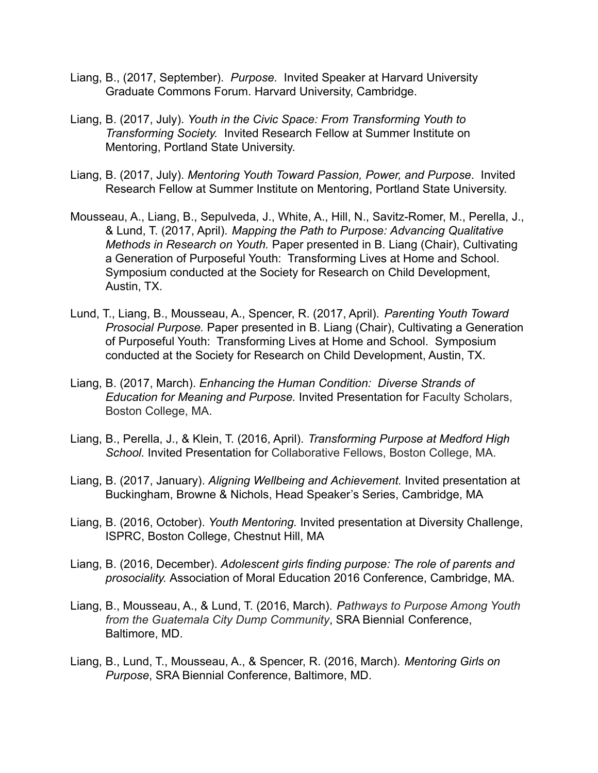- Liang, B., (2017, September). *Purpose.* Invited Speaker at Harvard University Graduate Commons Forum. Harvard University, Cambridge.
- Liang, B. (2017, July). *Youth in the Civic Space: From Transforming Youth to Transforming Society.* Invited Research Fellow at Summer Institute on Mentoring, Portland State University.
- Liang, B. (2017, July). *Mentoring Youth Toward Passion, Power, and Purpose*. Invited Research Fellow at Summer Institute on Mentoring, Portland State University.
- Mousseau, A., Liang, B., Sepulveda, J., White, A., Hill, N., Savitz-Romer, M., Perella, J., & Lund, T. (2017, April). *Mapping the Path to Purpose: Advancing Qualitative Methods in Research on Youth.* Paper presented in B. Liang (Chair), Cultivating a Generation of Purposeful Youth: Transforming Lives at Home and School. Symposium conducted at the Society for Research on Child Development, Austin, TX.
- Lund, T., Liang, B., Mousseau, A., Spencer, R. (2017, April). *Parenting Youth Toward Prosocial Purpose.* Paper presented in B. Liang (Chair), Cultivating a Generation of Purposeful Youth: Transforming Lives at Home and School. Symposium conducted at the Society for Research on Child Development, Austin, TX.
- Liang, B. (2017, March). *Enhancing the Human Condition: Diverse Strands of Education for Meaning and Purpose.* Invited Presentation for Faculty Scholars, Boston College, MA.
- Liang, B., Perella, J., & Klein, T. (2016, April). *Transforming Purpose at Medford High School.* Invited Presentation for Collaborative Fellows, Boston College, MA.
- Liang, B. (2017, January). *Aligning Wellbeing and Achievement.* Invited presentation at Buckingham, Browne & Nichols, Head Speaker's Series, Cambridge, MA
- Liang, B. (2016, October). *Youth Mentoring.* Invited presentation at Diversity Challenge, ISPRC, Boston College, Chestnut Hill, MA
- Liang, B. (2016, December). *Adolescent girls finding purpose: The role of parents and prosociality.* Association of Moral Education 2016 Conference, Cambridge, MA.
- Liang, B., Mousseau, A., & Lund, T. (2016, March). *Pathways to Purpose Among Youth from the Guatemala City Dump Community*, SRA Biennial Conference, Baltimore, MD.
- Liang, B., Lund, T., Mousseau, A., & Spencer, R. (2016, March). *Mentoring Girls on Purpose*, SRA Biennial Conference, Baltimore, MD.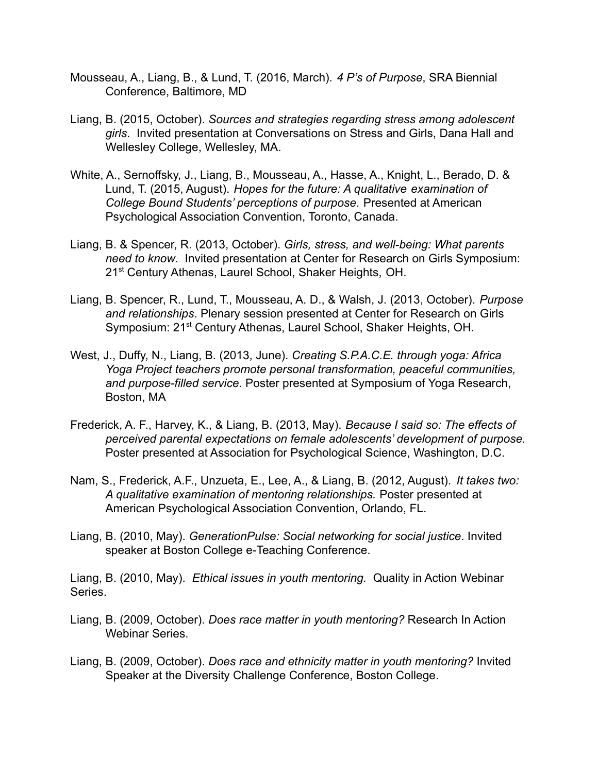- Mousseau, A., Liang, B., & Lund, T. (2016, March). *4 P's of Purpose*, SRA Biennial Conference, Baltimore, MD
- Liang, B. (2015, October). *Sources and strategies regarding stress among adolescent girls*. Invited presentation at Conversations on Stress and Girls, Dana Hall and Wellesley College, Wellesley, MA.
- White, A., Sernoffsky, J., Liang, B., Mousseau, A., Hasse, A., Knight, L., Berado, D. & Lund, T. (2015, August). *Hopes for the future: A qualitative examination of College Bound Students' perceptions of purpose.* Presented at American Psychological Association Convention, Toronto, Canada.
- Liang, B. & Spencer, R. (2013, October). *Girls, stress, and well-being: What parents need to know*. Invited presentation at Center for Research on Girls Symposium: 21<sup>st</sup> Century Athenas, Laurel School, Shaker Heights, OH.
- Liang, B. Spencer, R., Lund, T., Mousseau, A. D., & Walsh, J. (2013, October). *Purpose and relationships*. Plenary session presented at Center for Research on Girls Symposium: 21<sup>st</sup> Century Athenas, Laurel School, Shaker Heights, OH.
- West, J., Duffy, N., Liang, B. (2013, June). *Creating S.P.A.C.E. through yoga: Africa Yoga Project teachers promote personal transformation, peaceful communities, and purpose-filled service.* Poster presented at Symposium of Yoga Research, Boston, MA
- Frederick, A. F., Harvey, K., & Liang, B. (2013, May). *Because I said so: The effects of perceived parental expectations on female adolescents' development of purpose.* Poster presented at Association for Psychological Science, Washington, D.C.
- Nam, S., Frederick, A.F., Unzueta, E., Lee, A., & Liang, B. (2012, August). *It takes two: A qualitative examination of mentoring relationships.* Poster presented at American Psychological Association Convention, Orlando, FL.
- Liang, B. (2010, May). *GenerationPulse: Social networking for social justice*. Invited speaker at Boston College e-Teaching Conference.
- Liang, B. (2010, May). *Ethical issues in youth mentoring.* Quality in Action Webinar Series.
- Liang, B. (2009, October). *Does race matter in youth mentoring?* Research In Action Webinar Series.
- Liang, B. (2009, October). *Does race and ethnicity matter in youth mentoring?* Invited Speaker at the Diversity Challenge Conference, Boston College.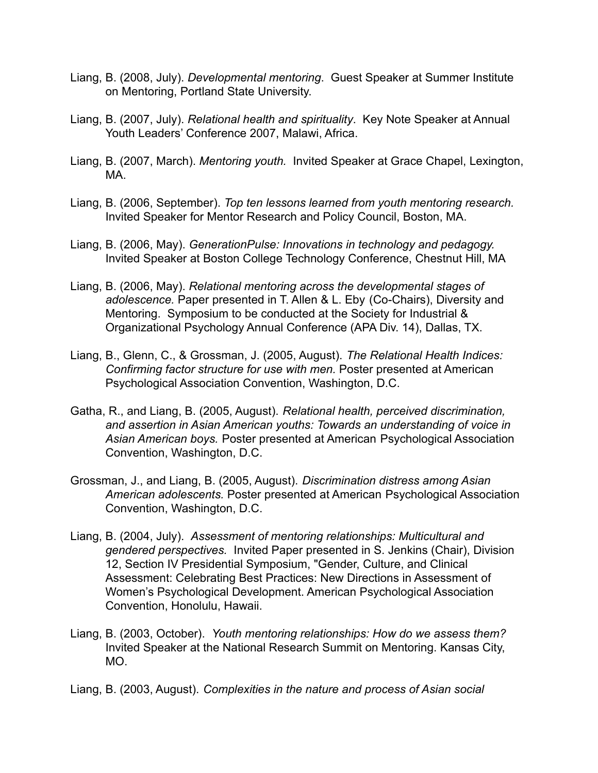- Liang, B. (2008, July). *Developmental mentoring*. Guest Speaker at Summer Institute on Mentoring, Portland State University.
- Liang, B. (2007, July). *Relational health and spirituality*. Key Note Speaker at Annual Youth Leaders' Conference 2007, Malawi, Africa.
- Liang, B. (2007, March). *Mentoring youth.* Invited Speaker at Grace Chapel, Lexington, MA.
- Liang, B. (2006, September). *Top ten lessons learned from youth mentoring research.* Invited Speaker for Mentor Research and Policy Council, Boston, MA.
- Liang, B. (2006, May). *GenerationPulse: Innovations in technology and pedagogy.* Invited Speaker at Boston College Technology Conference, Chestnut Hill, MA
- Liang, B. (2006, May). *Relational mentoring across the developmental stages of adolescence.* Paper presented in T. Allen & L. Eby (Co-Chairs), Diversity and Mentoring. Symposium to be conducted at the Society for Industrial & Organizational Psychology Annual Conference (APA Div. 14), Dallas, TX.
- Liang, B., Glenn, C., & Grossman, J. (2005, August). *The Relational Health Indices: Confirming factor structure for use with men.* Poster presented at American Psychological Association Convention, Washington, D.C.
- Gatha, R., and Liang, B. (2005, August). *Relational health, perceived discrimination, and assertion in Asian American youths: Towards an understanding of voice in Asian American boys.* Poster presented at American Psychological Association Convention, Washington, D.C.
- Grossman, J., and Liang, B. (2005, August). *Discrimination distress among Asian American adolescents.* Poster presented at American Psychological Association Convention, Washington, D.C.
- Liang, B. (2004, July). *Assessment of mentoring relationships: Multicultural and gendered perspectives.* Invited Paper presented in S. Jenkins (Chair), Division 12, Section IV Presidential Symposium, "Gender, Culture, and Clinical Assessment: Celebrating Best Practices: New Directions in Assessment of Women's Psychological Development. American Psychological Association Convention, Honolulu, Hawaii.
- Liang, B. (2003, October). *Youth mentoring relationships: How do we assess them?* Invited Speaker at the National Research Summit on Mentoring. Kansas City, MO.
- Liang, B. (2003, August). *Complexities in the nature and process of Asian social*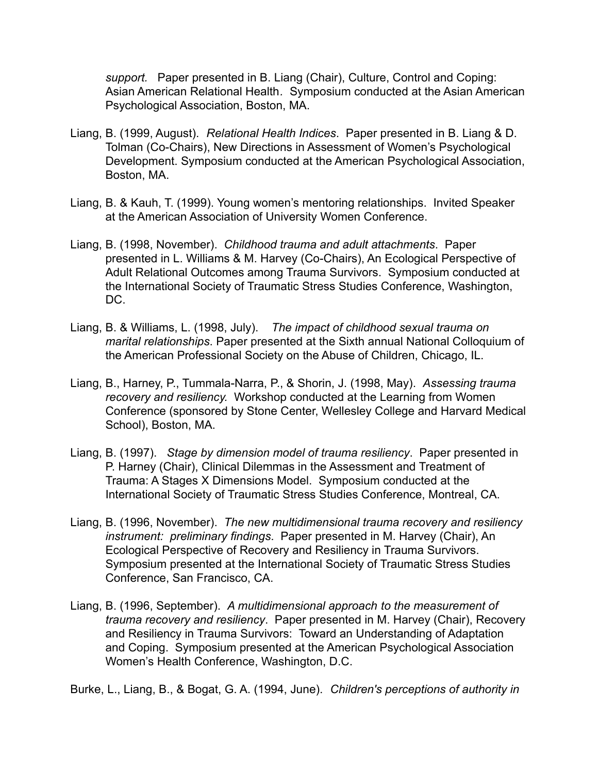*support.* Paper presented in B. Liang (Chair), Culture, Control and Coping: Asian American Relational Health*.* Symposium conducted at the Asian American Psychological Association, Boston, MA.

- Liang, B. (1999, August). *Relational Health Indices*. Paper presented in B. Liang & D. Tolman (Co-Chairs), New Directions in Assessment of Women's Psychological Development. Symposium conducted at the American Psychological Association, Boston, MA.
- Liang, B. & Kauh, T. (1999). Young women's mentoring relationships. Invited Speaker at the American Association of University Women Conference.
- Liang, B. (1998, November). *Childhood trauma and adult attachments*. Paper presented in L. Williams & M. Harvey (Co-Chairs), An Ecological Perspective of Adult Relational Outcomes among Trauma Survivors. Symposium conducted at the International Society of Traumatic Stress Studies Conference, Washington, DC.
- Liang, B. & Williams, L. (1998, July). *The impact of childhood sexual trauma on marital relationships*. Paper presented at the Sixth annual National Colloquium of the American Professional Society on the Abuse of Children, Chicago, IL.
- Liang, B., Harney, P., Tummala-Narra, P., & Shorin, J. (1998, May). *Assessing trauma recovery and resiliency.* Workshop conducted at the Learning from Women Conference (sponsored by Stone Center, Wellesley College and Harvard Medical School), Boston, MA.
- Liang, B. (1997). *Stage by dimension model of trauma resiliency*. Paper presented in P. Harney (Chair), Clinical Dilemmas in the Assessment and Treatment of Trauma: A Stages X Dimensions Model. Symposium conducted at the International Society of Traumatic Stress Studies Conference, Montreal, CA.
- Liang, B. (1996, November). *The new multidimensional trauma recovery and resiliency instrument: preliminary findings*. Paper presented in M. Harvey (Chair), An Ecological Perspective of Recovery and Resiliency in Trauma Survivors. Symposium presented at the International Society of Traumatic Stress Studies Conference, San Francisco, CA.
- Liang, B. (1996, September). *A multidimensional approach to the measurement of trauma recovery and resiliency*. Paper presented in M. Harvey (Chair), Recovery and Resiliency in Trauma Survivors: Toward an Understanding of Adaptation and Coping. Symposium presented at the American Psychological Association Women's Health Conference, Washington, D.C.

Burke, L., Liang, B., & Bogat, G. A. (1994, June). *Children's perceptions of authority in*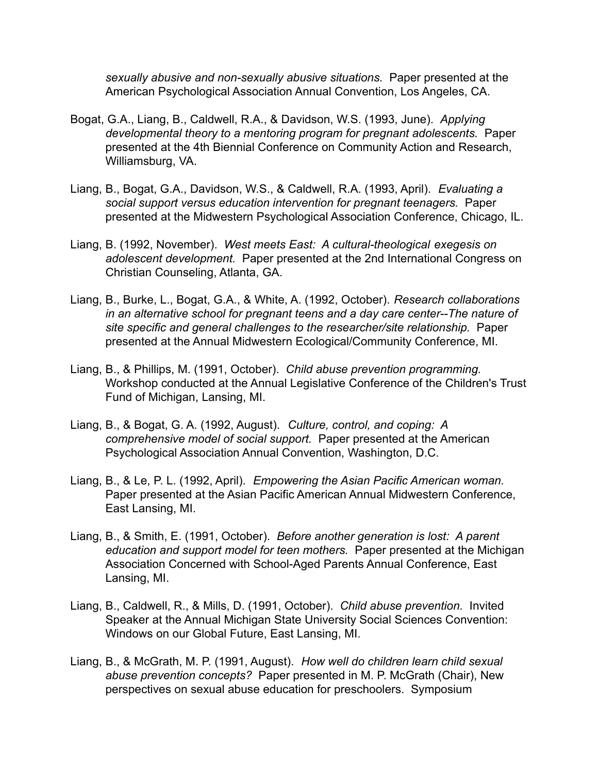*sexually abusive and non-sexually abusive situations.* Paper presented at the American Psychological Association Annual Convention, Los Angeles, CA.

- Bogat, G.A., Liang, B., Caldwell, R.A., & Davidson, W.S. (1993, June). *Applying developmental theory to a mentoring program for pregnant adolescents.* Paper presented at the 4th Biennial Conference on Community Action and Research, Williamsburg, VA.
- Liang, B., Bogat, G.A., Davidson, W.S., & Caldwell, R.A. (1993, April). *Evaluating a social support versus education intervention for pregnant teenagers.* Paper presented at the Midwestern Psychological Association Conference, Chicago, IL.
- Liang, B. (1992, November). *West meets East: A cultural-theological exegesis on adolescent development.* Paper presented at the 2nd International Congress on Christian Counseling, Atlanta, GA.
- Liang, B., Burke, L., Bogat, G.A., & White, A. (1992, October). *Research collaborations in an alternative school for pregnant teens and a day care center--The nature of site specific and general challenges to the researcher/site relationship.* Paper presented at the Annual Midwestern Ecological/Community Conference, MI.
- Liang, B., & Phillips, M. (1991, October). *Child abuse prevention programming.* Workshop conducted at the Annual Legislative Conference of the Children's Trust Fund of Michigan, Lansing, MI.
- Liang, B., & Bogat, G. A. (1992, August). *Culture, control, and coping: A comprehensive model of social support.* Paper presented at the American Psychological Association Annual Convention, Washington, D.C.
- Liang, B., & Le, P. L. (1992, April). *Empowering the Asian Pacific American woman.* Paper presented at the Asian Pacific American Annual Midwestern Conference, East Lansing, MI.
- Liang, B., & Smith, E. (1991, October). *Before another generation is lost: A parent education and support model for teen mothers.* Paper presented at the Michigan Association Concerned with School-Aged Parents Annual Conference, East Lansing, MI.
- Liang, B., Caldwell, R., & Mills, D. (1991, October). *Child abuse prevention.* Invited Speaker at the Annual Michigan State University Social Sciences Convention: Windows on our Global Future, East Lansing, MI.
- Liang, B., & McGrath, M. P. (1991, August). *How well do children learn child sexual abuse prevention concepts?* Paper presented in M. P. McGrath (Chair), New perspectives on sexual abuse education for preschoolers. Symposium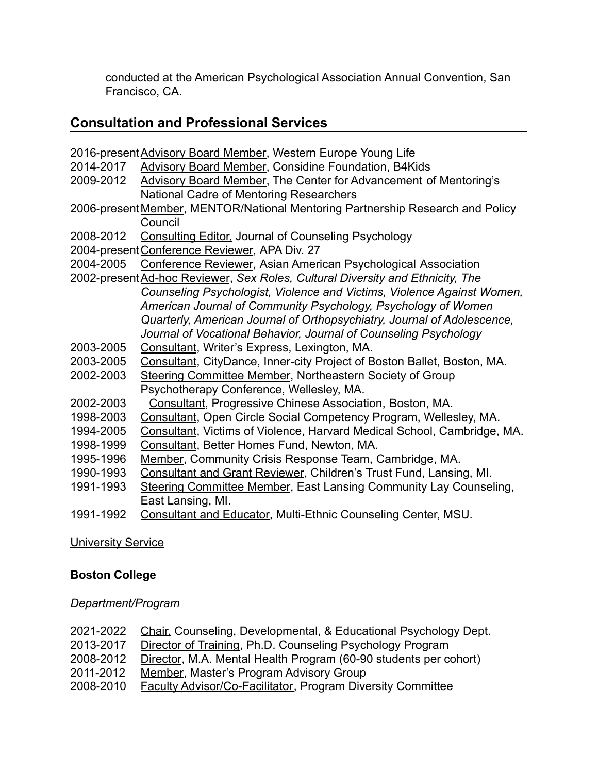conducted at the American Psychological Association Annual Convention, San Francisco, CA.

## **Consultation and Professional Services**

- 2016-presentAdvisory Board Member, Western Europe Young Life
- 2014-2017 Advisory Board Member, Considine Foundation, B4Kids
- 2009-2012 Advisory Board Member, The Center for Advancement of Mentoring's National Cadre of Mentoring Researchers
- 2006-presentMember, MENTOR/National Mentoring Partnership Research and Policy Council
- 2008-2012 Consulting Editor, Journal of Counseling Psychology
- 2004-presentConference Reviewer*,* APA Div. 27
- 2004-2005 Conference Reviewer*,* Asian American Psychological Association
- 2002-presentAd-hoc Reviewer, *Sex Roles, Cultural Diversity and Ethnicity, The Counseling Psychologist, Violence and Victims, Violence Against Women, American Journal of Community Psychology, Psychology of Women Quarterly, American Journal of Orthopsychiatry, Journal of Adolescence, Journal of Vocational Behavior, Journal of Counseling Psychology*
- 2003-2005 Consultant, Writer's Express, Lexington, MA.
- 2003-2005 Consultant, CityDance, Inner-city Project of Boston Ballet, Boston, MA.
- 2002-2003 Steering Committee Member, Northeastern Society of Group Psychotherapy Conference, Wellesley, MA.
- 2002-2003 Consultant, Progressive Chinese Association, Boston, MA.
- 1998-2003 Consultant, Open Circle Social Competency Program, Wellesley, MA.
- 1994-2005 Consultant, Victims of Violence, Harvard Medical School, Cambridge, MA.
- 1998-1999 Consultant, Better Homes Fund, Newton, MA.
- 1995-1996 Member, Community Crisis Response Team, Cambridge, MA.
- 1990-1993 Consultant and Grant Reviewer, Children's Trust Fund, Lansing, MI.
- 1991-1993 Steering Committee Member, East Lansing Community Lay Counseling, East Lansing, MI.
- 1991-1992 Consultant and Educator, Multi-Ethnic Counseling Center, MSU.

#### University Service

#### **Boston College**

#### *Department/Program*

- 2021-2022 Chair, Counseling, Developmental, & Educational Psychology Dept.
- 2013-2017 Director of Training, Ph.D. Counseling Psychology Program
- 2008-2012 Director, M.A. Mental Health Program (60-90 students per cohort)
- 2011-2012 Member, Master's Program Advisory Group
- 2008-2010 Faculty Advisor/Co-Facilitator, Program Diversity Committee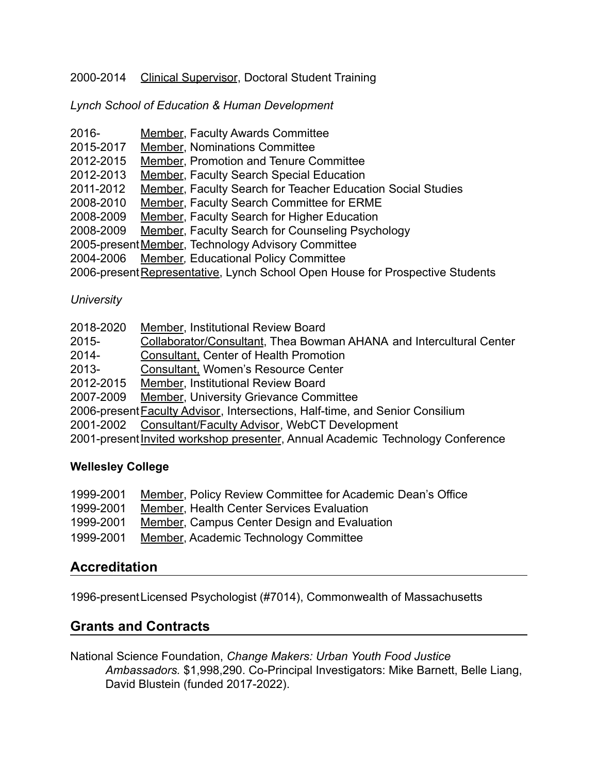#### 2000-2014 Clinical Supervisor, Doctoral Student Training

*Lynch School of Education & Human Development*

| $2016 -$                                                                      | <b>Member, Faculty Awards Committee</b>                            |  |  |
|-------------------------------------------------------------------------------|--------------------------------------------------------------------|--|--|
| 2015-2017                                                                     | <b>Member, Nominations Committee</b>                               |  |  |
| 2012-2015                                                                     | Member, Promotion and Tenure Committee                             |  |  |
| 2012-2013                                                                     | <b>Member, Faculty Search Special Education</b>                    |  |  |
| 2011-2012                                                                     | <b>Member, Faculty Search for Teacher Education Social Studies</b> |  |  |
| 2008-2010                                                                     | Member, Faculty Search Committee for ERME                          |  |  |
| 2008-2009                                                                     | Member, Faculty Search for Higher Education                        |  |  |
| 2008-2009                                                                     | <b>Member, Faculty Search for Counseling Psychology</b>            |  |  |
| 2005-present Member, Technology Advisory Committee                            |                                                                    |  |  |
| 2004-2006                                                                     | Member, Educational Policy Committee                               |  |  |
| 2006-present Representative, Lynch School Open House for Prospective Students |                                                                    |  |  |

#### *University*

| 2018-2020 | Member, Institutional Review Board                                                   |
|-----------|--------------------------------------------------------------------------------------|
| $2015 -$  | Collaborator/Consultant, Thea Bowman AHANA and Intercultural Center                  |
| $2014 -$  | <b>Consultant, Center of Health Promotion</b>                                        |
| $2013 -$  | Consultant, Women's Resource Center                                                  |
| 2012-2015 | Member, Institutional Review Board                                                   |
| 2007-2009 | <b>Member, University Grievance Committee</b>                                        |
|           | 2006-present <b>Faculty Advisor</b> , Intersections, Half-time, and Senior Consilium |
| 2001-2002 | Consultant/Faculty Advisor, WebCT Development                                        |
|           |                                                                                      |

#### 2001-present Invited workshop presenter, Annual Academic Technology Conference

#### **Wellesley College**

| 1999-2001 | Member, Policy Review Committee for Academic Dean's Office |
|-----------|------------------------------------------------------------|
|-----------|------------------------------------------------------------|

- 1999-2001 Member, Health Center Services Evaluation
- 1999-2001 Member, Campus Center Design and Evaluation
- 1999-2001 Member, Academic Technology Committee

### **Accreditation**

1996-presentLicensed Psychologist (#7014), Commonwealth of Massachusetts

### **Grants and Contracts**

National Science Foundation, *Change Makers: Urban Youth Food Justice Ambassadors.* \$1,998,290. Co-Principal Investigators: Mike Barnett, Belle Liang, David Blustein (funded 2017-2022).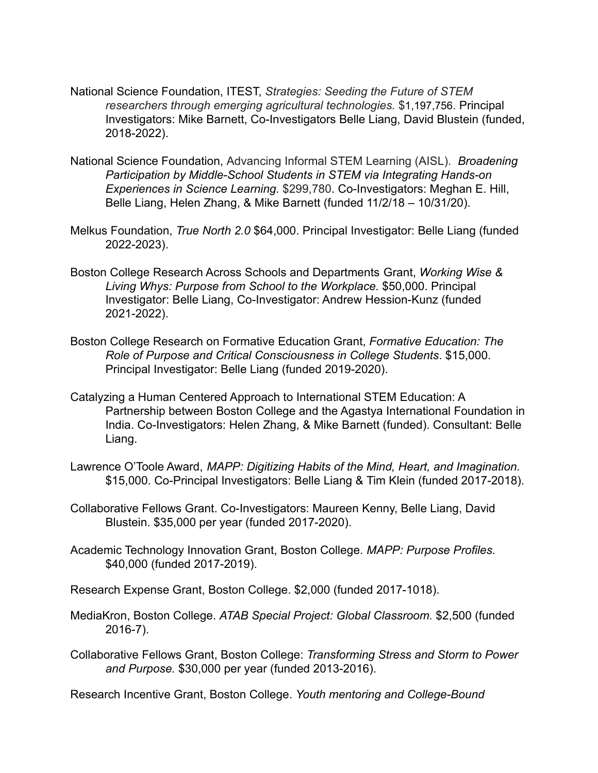- National Science Foundation, ITEST, *Strategies: Seeding the Future of STEM researchers through emerging agricultural technologies.* \$1,197,756. Principal Investigators: Mike Barnett, Co-Investigators Belle Liang, David Blustein (funded, 2018-2022).
- National Science Foundation, Advancing Informal STEM Learning (AISL). *Broadening Participation by Middle-School Students in STEM via Integrating Hands-on Experiences in Science Learning.* \$299,780. Co-Investigators: Meghan E. Hill, Belle Liang, Helen Zhang, & Mike Barnett (funded 11/2/18 – 10/31/20).
- Melkus Foundation, *True North 2.0* \$64,000. Principal Investigator: Belle Liang (funded 2022-2023).
- Boston College Research Across Schools and Departments Grant, *Working Wise & Living Whys: Purpose from School to the Workplace.* \$50,000. Principal Investigator: Belle Liang, Co-Investigator: Andrew Hession-Kunz (funded 2021-2022).
- Boston College Research on Formative Education Grant, *Formative Education: The Role of Purpose and Critical Consciousness in College Students*. \$15,000. Principal Investigator: Belle Liang (funded 2019-2020).
- Catalyzing a Human Centered Approach to International STEM Education: A Partnership between Boston College and the Agastya International Foundation in India. Co-Investigators: Helen Zhang, & Mike Barnett (funded). Consultant: Belle Liang.
- Lawrence O'Toole Award, *MAPP: Digitizing Habits of the Mind, Heart, and Imagination.* \$15,000. Co-Principal Investigators: Belle Liang & Tim Klein (funded 2017-2018).
- Collaborative Fellows Grant. Co-Investigators: Maureen Kenny, Belle Liang, David Blustein. \$35,000 per year (funded 2017-2020).
- Academic Technology Innovation Grant, Boston College. *MAPP: Purpose Profiles.* \$40,000 (funded 2017-2019).
- Research Expense Grant, Boston College. \$2,000 (funded 2017-1018).
- MediaKron, Boston College. *ATAB Special Project: Global Classroom.* \$2,500 (funded 2016-7).
- Collaborative Fellows Grant, Boston College: *Transforming Stress and Storm to Power and Purpose.* \$30,000 per year (funded 2013-2016).

Research Incentive Grant, Boston College. *Youth mentoring and College-Bound*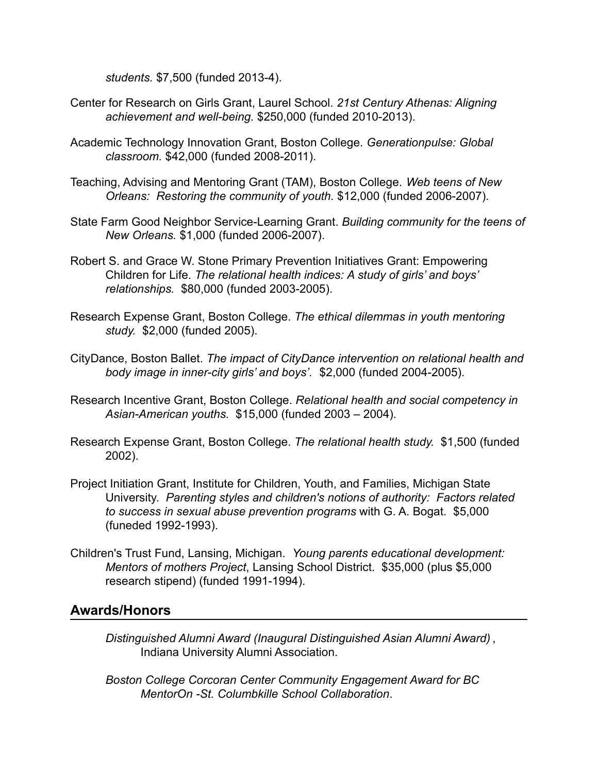*students.* \$7,500 (funded 2013-4).

- Center for Research on Girls Grant, Laurel School. *21st Century Athenas: Aligning achievement and well-being.* \$250,000 (funded 2010-2013).
- Academic Technology Innovation Grant, Boston College. *Generationpulse: Global classroom.* \$42,000 (funded 2008-2011).
- Teaching, Advising and Mentoring Grant (TAM), Boston College. *Web teens of New Orleans: Restoring the community of youth.* \$12,000 (funded 2006-2007).
- State Farm Good Neighbor Service-Learning Grant. *Building community for the teens of New Orleans.* \$1,000 (funded 2006-2007).
- Robert S. and Grace W. Stone Primary Prevention Initiatives Grant: Empowering Children for Life. *The relational health indices: A study of girls' and boys' relationships.* \$80,000 (funded 2003-2005).
- Research Expense Grant, Boston College. *The ethical dilemmas in youth mentoring study.* \$2,000 (funded 2005).
- CityDance, Boston Ballet. *The impact of CityDance intervention on relational health and body image in inner-city girls' and boys'.* \$2,000 (funded 2004-2005).
- Research Incentive Grant, Boston College. *Relational health and social competency in Asian-American youths.* \$15,000 (funded 2003 – 2004).
- Research Expense Grant, Boston College. *The relational health study.* \$1,500 (funded 2002).
- Project Initiation Grant, Institute for Children, Youth, and Families, Michigan State University. *Parenting styles and children's notions of authority: Factors related to success in sexual abuse prevention programs* with G. A. Bogat. \$5,000 (funeded 1992-1993).
- Children's Trust Fund, Lansing, Michigan. *Young parents educational development: Mentors of mothers Project*, Lansing School District. \$35,000 (plus \$5,000 research stipend) (funded 1991-1994).

### **Awards/Honors**

- *Distinguished Alumni Award (Inaugural Distinguished Asian Alumni Award)* , Indiana University Alumni Association.
- *Boston College Corcoran Center Community Engagement Award for BC MentorOn -St. Columbkille School Collaboration*.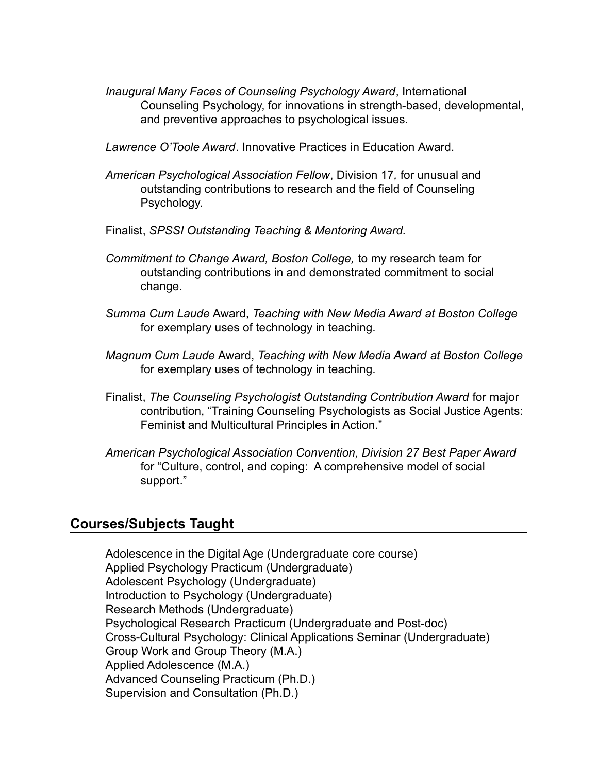- *Inaugural Many Faces of Counseling Psychology Award*, International Counseling Psychology, for innovations in strength-based, developmental, and preventive approaches to psychological issues.
- *Lawrence O'Toole Award*. Innovative Practices in Education Award.
- *American Psychological Association Fellow*, Division 17*,* for unusual and outstanding contributions to research and the field of Counseling Psychology.
- Finalist, *SPSSI Outstanding Teaching & Mentoring Award.*
- *Commitment to Change Award, Boston College,* to my research team for outstanding contributions in and demonstrated commitment to social change.
- *Summa Cum Laude* Award, *Teaching with New Media Award at Boston College* for exemplary uses of technology in teaching.
- *Magnum Cum Laude* Award, *Teaching with New Media Award at Boston College* for exemplary uses of technology in teaching.
- Finalist, *The Counseling Psychologist Outstanding Contribution Award* for major contribution, "Training Counseling Psychologists as Social Justice Agents: Feminist and Multicultural Principles in Action."
- *American Psychological Association Convention, Division 27 Best Paper Award* for "Culture, control, and coping: A comprehensive model of social support."

#### **Courses/Subjects Taught**

Adolescence in the Digital Age (Undergraduate core course) Applied Psychology Practicum (Undergraduate) Adolescent Psychology (Undergraduate) Introduction to Psychology (Undergraduate) Research Methods (Undergraduate) Psychological Research Practicum (Undergraduate and Post-doc) Cross-Cultural Psychology: Clinical Applications Seminar (Undergraduate) Group Work and Group Theory (M.A.) Applied Adolescence (M.A.) Advanced Counseling Practicum (Ph.D.) Supervision and Consultation (Ph.D.)